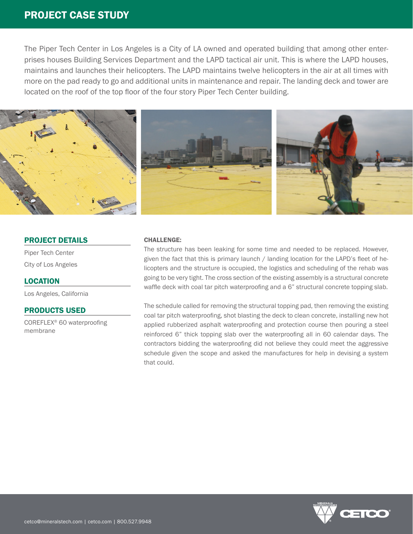# PROJECT CASE STUDY

The Piper Tech Center in Los Angeles is a City of LA owned and operated building that among other enterprises houses Building Services Department and the LAPD tactical air unit. This is where the LAPD houses, maintains and launches their helicopters. The LAPD maintains twelve helicopters in the air at all times with more on the pad ready to go and additional units in maintenance and repair. The landing deck and tower are located on the roof of the top floor of the four story Piper Tech Center building.



## PROJECT DETAILS

Piper Tech Center City of Los Angeles

LOCATION Los Angeles, California

### PRODUCTS USED

COREFLEX® 60 waterproofing membrane

#### CHALLENGE:

The structure has been leaking for some time and needed to be replaced. However, given the fact that this is primary launch / landing location for the LAPD's fleet of helicopters and the structure is occupied, the logistics and scheduling of the rehab was going to be very tight. The cross section of the existing assembly is a structural concrete waffle deck with coal tar pitch waterproofing and a 6" structural concrete topping slab.

The schedule called for removing the structural topping pad, then removing the existing coal tar pitch waterproofing, shot blasting the deck to clean concrete, installing new hot applied rubberized asphalt waterproofing and protection course then pouring a steel reinforced 6" thick topping slab over the waterproofing all in 60 calendar days. The contractors bidding the waterproofing did not believe they could meet the aggressive schedule given the scope and asked the manufactures for help in devising a system that could.